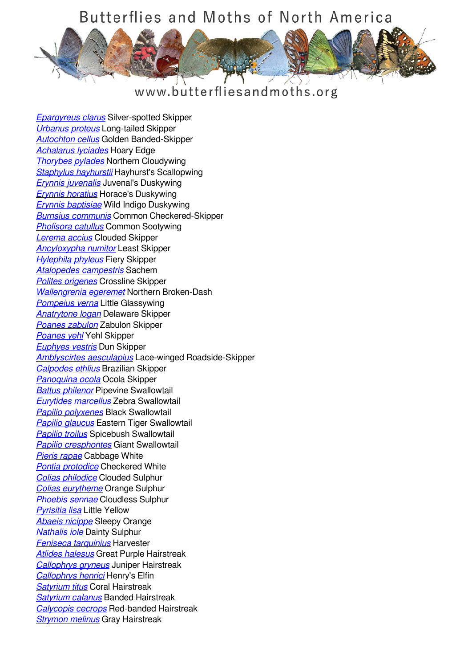## Butterflies and Moths of North America



## www.butterfliesandmoths.org

*[Epargyreus clarus](/species/Epargyreus-clarus)* Silver-spotted Skipper *[Urbanus proteus](/species/Urbanus-proteus)* Long-tailed Skipper *[Autochton cellus](/species/Autochton-cellus)* Golden Banded-Skipper *[Achalarus lyciades](/species/Achalarus-lyciades)* Hoary Edge *[Thorybes pylades](/species/Thorybes-pylades)* Northern Cloudywing *[Staphylus hayhurstii](/species/Staphylus-hayhurstii)* Hayhurst's Scallopwing *[Erynnis juvenalis](/species/Erynnis-juvenalis)* Juvenal's Duskywing *[Erynnis horatius](/species/Erynnis-horatius)* Horace's Duskywing *[Erynnis baptisiae](/species/Erynnis-baptisiae)* Wild Indigo Duskywing *[Burnsius communis](/species/Pyrgus-communis)* Common Checkered-Skipper *[Pholisora catullus](/species/Pholisora-catullus)* Common Sootywing *[Lerema accius](/species/Lerema-accius)* Clouded Skipper *[Ancyloxypha numitor](/species/Ancyloxypha-numitor)* Least Skipper *[Hylephila phyleus](/species/Hylephila-phyleus)* Fiery Skipper *[Atalopedes campestris](/species/Atalopedes-campestris)* Sachem *[Polites origenes](/species/Polites-origenes)* Crossline Skipper *[Wallengrenia egeremet](/species/Wallengrenia-egeremet)* Northern Broken-Dash *[Pompeius verna](/species/Pompeius-verna)* Little Glassywing *[Anatrytone logan](/species/Anatrytone-logan)* Delaware Skipper *[Poanes zabulon](/species/Poanes-zabulon)* Zabulon Skipper *[Poanes yehl](/species/Poanes-yehl)* Yehl Skipper *[Euphyes vestris](/species/Euphyes-vestris)* Dun Skipper *[Amblyscirtes aesculapius](/species/Amblyscirtes-aesculapius)* Lace-winged Roadside-Skipper *[Calpodes ethlius](/species/Calpodes-ethlius)* Brazilian Skipper *[Panoquina ocola](/species/Panoquina-ocola)* Ocola Skipper *[Battus philenor](/species/Battus-philenor)* Pipevine Swallowtail *[Eurytides marcellus](/species/Eurytides-marcellus)* Zebra Swallowtail *[Papilio polyxenes](/species/Papilio-polyxenes)* Black Swallowtail *[Papilio glaucus](/species/Papilio-glaucus)* Eastern Tiger Swallowtail *[Papilio troilus](/species/Papilio-troilus)* Spicebush Swallowtail *[Papilio cresphontes](/species/Papilio-cresphontes)* Giant Swallowtail *[Pieris rapae](/species/Pieris-rapae)* Cabbage White *[Pontia protodice](/species/Pontia-protodice)* Checkered White *[Colias philodice](/species/Colias-philodice)* Clouded Sulphur *[Colias eurytheme](/species/Colias-eurytheme)* Orange Sulphur *[Phoebis sennae](/species/Phoebis-sennae)* Cloudless Sulphur *[Pyrisitia lisa](/species/Pyrisitia-lisa)* Little Yellow *[Abaeis nicippe](/species/Abaeis-nicippe)* Sleepy Orange *[Nathalis iole](/species/Nathalis-iole)* Dainty Sulphur *[Feniseca tarquinius](/species/Feniseca-tarquinius)* Harvester *[Atlides halesus](/species/Atlides-halesus)* Great Purple Hairstreak *[Callophrys gryneus](/species/Callophrys-gryneus)* Juniper Hairstreak *[Callophrys henrici](/species/Callophrys-henrici)* Henry's Elfin *[Satyrium titus](/species/Satyrium-titus)* Coral Hairstreak *[Satyrium calanus](/species/Satyrium-calanus)* Banded Hairstreak *[Calycopis cecrops](/species/Calycopis-cecrops)* Red-banded Hairstreak *[Strymon melinus](/species/Strymon-melinus)* Gray Hairstreak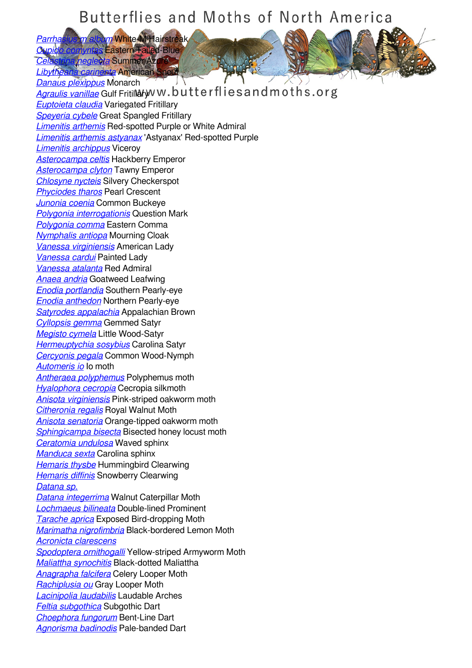## Butterflies and Moths of North America

*[Parrhasius m album](/species/Parrhasius-m-album)* White-M Hairstreak *[Cupido comyntas](/species/Cupido-comyntas)* Eastern Tailed-Blue *Chameglecta* Summer Azure *[Libytheana carinenta](/species/Libytheana-carinenta)* American Snout

*[Danaus plexippus](/species/Danaus-plexippus)* Monarch *[Agraulis vanillae](/species/Agraulis-vanillae)* Gulf Fritillary W.butterfliesandmoths.org *[Euptoieta claudia](/species/Euptoieta-claudia)* Variegated Fritillary *[Speyeria cybele](/species/Speyeria-cybele)* Great Spangled Fritillary *[Limenitis arthemis](/species/Limenitis-arthemis)* Red-spotted Purple or White Admiral *[Limenitis arthemis astyanax](/species/Limenitis-arthemis-astyanax)* 'Astyanax' Red-spotted Purple *[Limenitis archippus](/species/Limenitis-archippus)* Viceroy *[Asterocampa celtis](/species/Asterocampa-celtis)* Hackberry Emperor *[Asterocampa clyton](/species/Asterocampa-clyton)* Tawny Emperor *[Chlosyne nycteis](/species/Chlosyne-nycteis)* Silvery Checkerspot *[Phyciodes tharos](/species/Phyciodes-tharos)* Pearl Crescent *[Junonia coenia](/species/Junonia-coenia)* Common Buckeye *[Polygonia interrogationis](/species/Polygonia-interrogationis)* Question Mark *[Polygonia comma](/species/Polygonia-comma)* Eastern Comma *[Nymphalis antiopa](/species/Nymphalis-antiopa)* Mourning Cloak *[Vanessa virginiensis](/species/Vanessa-virginiensis)* American Lady *[Vanessa cardui](/species/Vanessa-cardui)* Painted Lady *[Vanessa atalanta](/species/Vanessa-atalanta)* Red Admiral *[Anaea andria](/species/Anaea-andria)* Goatweed Leafwing *[Enodia portlandia](/species/Enodia-portlandia)* Southern Pearly-eye *[Enodia anthedon](/species/Enodia-anthedon)* Northern Pearly-eye *[Satyrodes appalachia](/species/Satyrodes-appalachia)* Appalachian Brown *[Cyllopsis gemma](/species/Cyllopsis-gemma)* Gemmed Satyr *[Megisto cymela](/species/Megisto-cymela)* Little Wood-Satyr *[Hermeuptychia sosybius](/species/Hermeuptychia-sosybius)* Carolina Satyr *[Cercyonis pegala](/species/Cercyonis-pegala)* Common Wood-Nymph *[Automeris io](/species/Automeris-io)* Io moth *[Antheraea polyphemus](/species/Antheraea-polyphemus)* Polyphemus moth *[Hyalophora cecropia](/species/Hyalophora-cecropia)* Cecropia silkmoth *[Anisota virginiensis](/species/Anisota-virginiensis)* Pink-striped oakworm moth *[Citheronia regalis](/species/Citheronia-regalis)* Royal Walnut Moth *[Anisota senatoria](/species/Anisota-senatoria)* Orange-tipped oakworm moth *[Sphingicampa bisecta](/species/Sphingicampa-bisecta)* Bisected honey locust moth *[Ceratomia undulosa](/species/Ceratomia-undulosa)* Waved sphinx *[Manduca sexta](/species/Manduca-sexta)* Carolina sphinx *[Hemaris thysbe](/species/Hemaris-thysbe)* Hummingbird Clearwing *[Hemaris diffinis](/species/Hemaris-diffinis)* Snowberry Clearwing *[Datana sp.](/species/Datana-sp.) [Datana integerrima](/species/Datana-integerrima)* Walnut Caterpillar Moth *[Lochmaeus bilineata](/species/Lochmaeus-bilineata)* Double-lined Prominent *[Tarache aprica](/species/Tarache-aprica)* Exposed Bird-dropping Moth *[Marimatha nigrofimbria](/species/Marimatha-nigrofimbria)* Black-bordered Lemon Moth *[Acronicta clarescens](/species/Acronicta-clarescens) [Spodoptera ornithogalli](/species/Spodoptera-ornithogalli)* Yellow-striped Armyworm Moth *[Maliattha synochitis](/species/Maliattha-synochitis)* Black-dotted Maliattha *[Anagrapha falcifera](/species/Anagrapha-falcifera)* Celery Looper Moth *[Rachiplusia ou](/species/Rachiplusia-ou)* Gray Looper Moth *[Lacinipolia laudabilis](/species/Lacinipolia-laudabilis)* Laudable Arches *[Feltia subgothica](/species/Feltia-subgothica)* Subgothic Dart *[Choephora fungorum](/species/Choephora-fungorum)* Bent-Line Dart *[Agnorisma badinodis](/species/Agnorisma-badinodis)* Pale-banded Dart